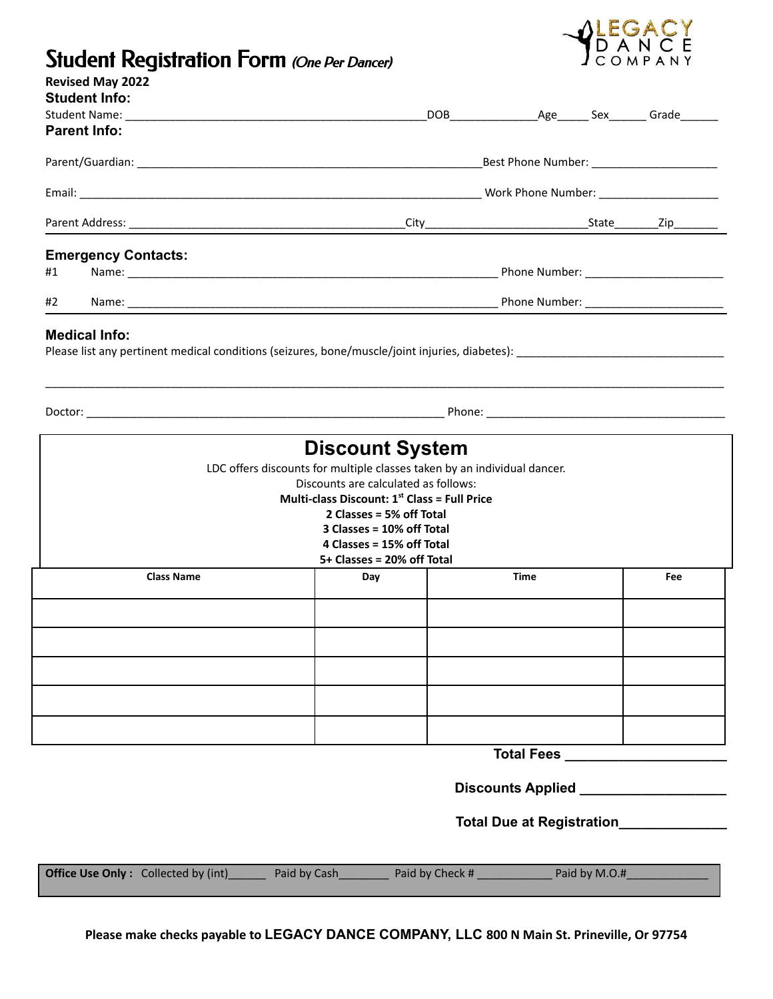

## Student Registration Form (One Per Dancer)

| <b>Revised May 2022</b><br><b>Student Info:</b>                                                                                                                                                                                                                                    |                            |  |  |  |  |                   |  |
|------------------------------------------------------------------------------------------------------------------------------------------------------------------------------------------------------------------------------------------------------------------------------------|----------------------------|--|--|--|--|-------------------|--|
|                                                                                                                                                                                                                                                                                    |                            |  |  |  |  | DOB Age Sex Grade |  |
| <b>Parent Info:</b>                                                                                                                                                                                                                                                                |                            |  |  |  |  |                   |  |
|                                                                                                                                                                                                                                                                                    |                            |  |  |  |  |                   |  |
|                                                                                                                                                                                                                                                                                    |                            |  |  |  |  |                   |  |
|                                                                                                                                                                                                                                                                                    |                            |  |  |  |  |                   |  |
|                                                                                                                                                                                                                                                                                    | <b>Emergency Contacts:</b> |  |  |  |  |                   |  |
| #1                                                                                                                                                                                                                                                                                 |                            |  |  |  |  |                   |  |
| #2                                                                                                                                                                                                                                                                                 |                            |  |  |  |  |                   |  |
|                                                                                                                                                                                                                                                                                    | <b>Medical Info:</b>       |  |  |  |  |                   |  |
|                                                                                                                                                                                                                                                                                    |                            |  |  |  |  |                   |  |
| <b>Discount System</b><br>LDC offers discounts for multiple classes taken by an individual dancer.<br>Discounts are calculated as follows:<br>Multi-class Discount: $1st$ Class = Full Price<br>2 Classes = 5% off Total<br>3 Classes = 10% off Total<br>4 Classes = 15% off Total |                            |  |  |  |  |                   |  |
| 5+ Classes = 20% off Total<br><b>Class Name</b><br><b>Time</b><br>Day                                                                                                                                                                                                              |                            |  |  |  |  | Fee               |  |
|                                                                                                                                                                                                                                                                                    |                            |  |  |  |  |                   |  |
|                                                                                                                                                                                                                                                                                    |                            |  |  |  |  |                   |  |
|                                                                                                                                                                                                                                                                                    |                            |  |  |  |  |                   |  |
|                                                                                                                                                                                                                                                                                    |                            |  |  |  |  |                   |  |
|                                                                                                                                                                                                                                                                                    |                            |  |  |  |  |                   |  |
|                                                                                                                                                                                                                                                                                    |                            |  |  |  |  |                   |  |
| <b>Total Fees</b>                                                                                                                                                                                                                                                                  |                            |  |  |  |  |                   |  |
|                                                                                                                                                                                                                                                                                    |                            |  |  |  |  |                   |  |

## **Total Due at Registration\_\_\_\_\_\_\_\_\_\_\_\_\_\_**

| <b>Office Use Only:</b> Collected by (int) | Paid by Cash | Paid by Check # | Paid by M.O.# |
|--------------------------------------------|--------------|-----------------|---------------|
|                                            |              |                 |               |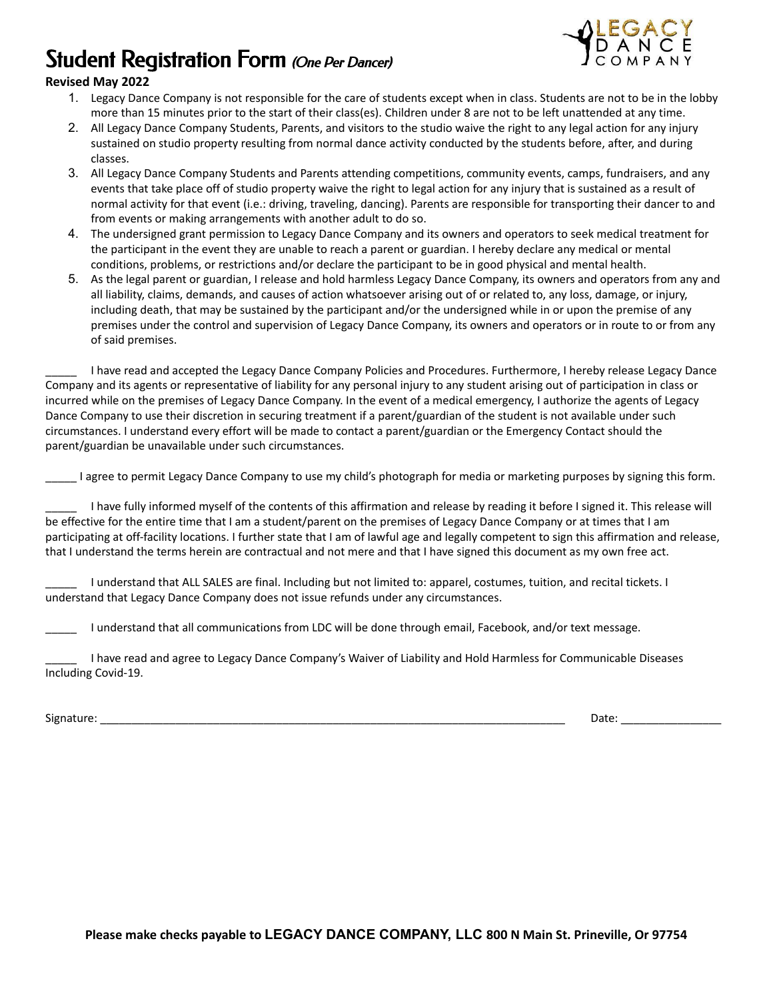# Student Registration Form (One Per Dancer)



#### **Revised May 2022**

- 1. Legacy Dance Company is not responsible for the care of students except when in class. Students are not to be in the lobby more than 15 minutes prior to the start of their class(es). Children under 8 are not to be left unattended at any time.
- 2. All Legacy Dance Company Students, Parents, and visitors to the studio waive the right to any legal action for any injury sustained on studio property resulting from normal dance activity conducted by the students before, after, and during classes.
- 3. All Legacy Dance Company Students and Parents attending competitions, community events, camps, fundraisers, and any events that take place off of studio property waive the right to legal action for any injury that is sustained as a result of normal activity for that event (i.e.: driving, traveling, dancing). Parents are responsible for transporting their dancer to and from events or making arrangements with another adult to do so.
- 4. The undersigned grant permission to Legacy Dance Company and its owners and operators to seek medical treatment for the participant in the event they are unable to reach a parent or guardian. I hereby declare any medical or mental conditions, problems, or restrictions and/or declare the participant to be in good physical and mental health.
- 5. As the legal parent or guardian, I release and hold harmless Legacy Dance Company, its owners and operators from any and all liability, claims, demands, and causes of action whatsoever arising out of or related to, any loss, damage, or injury, including death, that may be sustained by the participant and/or the undersigned while in or upon the premise of any premises under the control and supervision of Legacy Dance Company, its owners and operators or in route to or from any of said premises.

I have read and accepted the Legacy Dance Company Policies and Procedures. Furthermore, I hereby release Legacy Dance Company and its agents or representative of liability for any personal injury to any student arising out of participation in class or incurred while on the premises of Legacy Dance Company. In the event of a medical emergency, I authorize the agents of Legacy Dance Company to use their discretion in securing treatment if a parent/guardian of the student is not available under such circumstances. I understand every effort will be made to contact a parent/guardian or the Emergency Contact should the parent/guardian be unavailable under such circumstances.

\_\_\_\_\_ I agree to permit Legacy Dance Company to use my child's photograph for media or marketing purposes by signing this form.

I have fully informed myself of the contents of this affirmation and release by reading it before I signed it. This release will be effective for the entire time that I am a student/parent on the premises of Legacy Dance Company or at times that I am participating at off-facility locations. I further state that I am of lawful age and legally competent to sign this affirmation and release, that I understand the terms herein are contractual and not mere and that I have signed this document as my own free act.

\_\_\_\_\_ I understand that ALL SALES are final. Including but not limited to: apparel, costumes, tuition, and recital tickets. I understand that Legacy Dance Company does not issue refunds under any circumstances.

\_\_\_\_\_ I understand that all communications from LDC will be done through email, Facebook, and/or text message.

\_\_\_\_\_ I have read and agree to Legacy Dance Company's Waiver of Liability and Hold Harmless for Communicable Diseases Including Covid-19.

Signature: \_\_\_\_\_\_\_\_\_\_\_\_\_\_\_\_\_\_\_\_\_\_\_\_\_\_\_\_\_\_\_\_\_\_\_\_\_\_\_\_\_\_\_\_\_\_\_\_\_\_\_\_\_\_\_\_\_\_\_\_\_\_\_\_\_\_\_\_\_\_\_\_\_\_ Date: \_\_\_\_\_\_\_\_\_\_\_\_\_\_\_\_